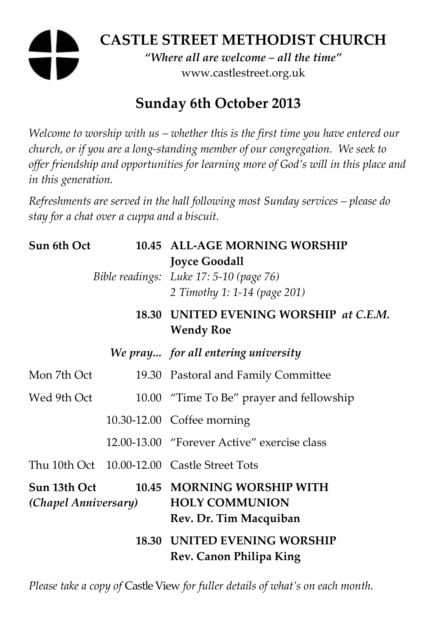# **CASTLE STREET METHODIST CHURCH**

*"Where all are welcome – all the time"*  www.castlestreet.org.uk

## **Sunday 6th October 2013**

*Welcome to worship with us – whether this is the first time you have entered our church, or if you are a long-standing member of our congregation. We seek to offer friendship and opportunities for learning more of God's will in this place and in this generation.* 

*Refreshments are served in the hall following most Sunday services – please do stay for a chat over a cuppa and a biscuit.* 

| Sun 6th Oct                          |  | 10.45 ALL-AGE MORNING WORSHIP<br><b>Joyce Goodall</b><br>Bible readings: Luke 17: 5-10 (page 76)<br>2 Timothy 1: 1-14 (page 201) |
|--------------------------------------|--|----------------------------------------------------------------------------------------------------------------------------------|
|                                      |  | 18.30 UNITED EVENING WORSHIP at C.E.M.<br><b>Wendy Roe</b>                                                                       |
|                                      |  | We pray for all entering university                                                                                              |
| Mon 7th Oct                          |  | 19.30 Pastoral and Family Committee                                                                                              |
| Wed 9th Oct                          |  | 10.00 "Time To Be" prayer and fellowship                                                                                         |
|                                      |  | 10.30-12.00 Coffee morning                                                                                                       |
|                                      |  | 12.00-13.00 "Forever Active" exercise class                                                                                      |
|                                      |  | Thu 10th Oct 10.00-12.00 Castle Street Tots                                                                                      |
| Sun 13th Oct<br>(Chapel Anniversary) |  | 10.45 MORNING WORSHIP WITH<br><b>HOLY COMMUNION</b><br>Rev. Dr. Tim Macquiban                                                    |
|                                      |  | <b>18.30 UNITED EVENING WORSHIP</b><br>Rev. Canon Philipa King                                                                   |

*Please take a copy of* Castle View *for fuller details of what's on each month.*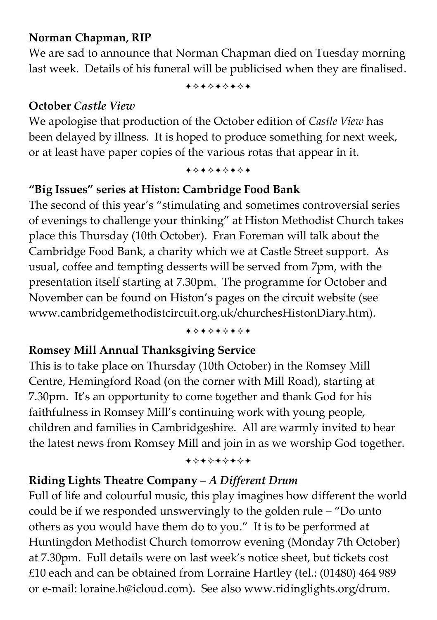## **Norman Chapman, RIP**

We are sad to announce that Norman Chapman died on Tuesday morning last week. Details of his funeral will be publicised when they are finalised.

+\*\*\*\*\*\*\*

## **October** *Castle View*

We apologise that production of the October edition of *Castle View* has been delayed by illness. It is hoped to produce something for next week, or at least have paper copies of the various rotas that appear in it.

+\*\*\*\*\*\*\*

## **"Big Issues" series at Histon: Cambridge Food Bank**

The second of this year's "stimulating and sometimes controversial series of evenings to challenge your thinking" at Histon Methodist Church takes place this Thursday (10th October). Fran Foreman will talk about the Cambridge Food Bank, a charity which we at Castle Street support. As usual, coffee and tempting desserts will be served from 7pm, with the presentation itself starting at 7.30pm. The programme for October and November can be found on Histon's pages on the circuit website (see www.cambridgemethodistcircuit.org.uk/churchesHistonDiary.htm).

#### +\*\*\*\*\*\*\*

## **Romsey Mill Annual Thanksgiving Service**

This is to take place on Thursday (10th October) in the Romsey Mill Centre, Hemingford Road (on the corner with Mill Road), starting at 7.30pm. It's an opportunity to come together and thank God for his faithfulness in Romsey Mill's continuing work with young people, children and families in Cambridgeshire. All are warmly invited to hear the latest news from Romsey Mill and join in as we worship God together.

#### +\*\*\*\*\*\*\*

## **Riding Lights Theatre Company –** *A Different Drum*

Full of life and colourful music, this play imagines how different the world could be if we responded unswervingly to the golden rule – "Do unto others as you would have them do to you." It is to be performed at Huntingdon Methodist Church tomorrow evening (Monday 7th October) at 7.30pm. Full details were on last week's notice sheet, but tickets cost £10 each and can be obtained from Lorraine Hartley (tel.: (01480) 464 989 or e-mail: loraine.h@icloud.com). See also www.ridinglights.org/drum.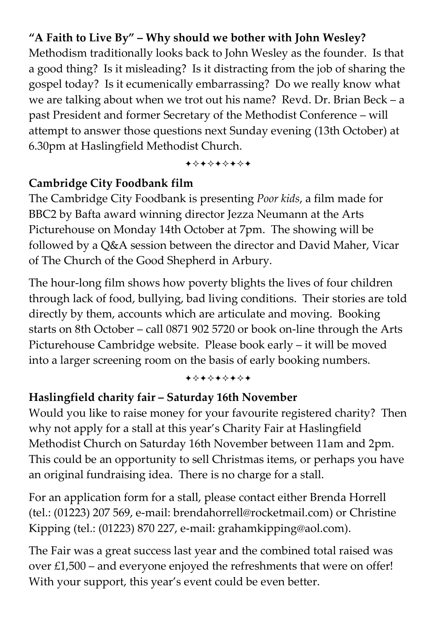## **"A Faith to Live By" – Why should we bother with John Wesley?**

Methodism traditionally looks back to John Wesley as the founder. Is that a good thing? Is it misleading? Is it distracting from the job of sharing the gospel today? Is it ecumenically embarrassing? Do we really know what we are talking about when we trot out his name? Revd. Dr. Brian Beck – a past President and former Secretary of the Methodist Conference – will attempt to answer those questions next Sunday evening (13th October) at 6.30pm at Haslingfield Methodist Church.

+\*\*\*\*\*\*\*

## **Cambridge City Foodbank film**

The Cambridge City Foodbank is presenting *Poor kids*, a film made for BBC2 by Bafta award winning director Jezza Neumann at the Arts Picturehouse on Monday 14th October at 7pm. The showing will be followed by a Q&A session between the director and David Maher, Vicar of The Church of the Good Shepherd in Arbury.

The hour-long film shows how poverty blights the lives of four children through lack of food, bullying, bad living conditions. Their stories are told directly by them, accounts which are articulate and moving. Booking starts on 8th October – call 0871 902 5720 or book on-line through the Arts Picturehouse Cambridge website. Please book early – it will be moved into a larger screening room on the basis of early booking numbers.

+\*\*\*\*\*\*\*

### **Haslingfield charity fair – Saturday 16th November**

Would you like to raise money for your favourite registered charity? Then why not apply for a stall at this year's Charity Fair at Haslingfield Methodist Church on Saturday 16th November between 11am and 2pm. This could be an opportunity to sell Christmas items, or perhaps you have an original fundraising idea. There is no charge for a stall.

For an application form for a stall, please contact either Brenda Horrell (tel.: (01223) 207 569, e-mail: brendahorrell@rocketmail.com) or Christine Kipping (tel.: (01223) 870 227, e-mail: grahamkipping@aol.com).

The Fair was a great success last year and the combined total raised was over £1,500 – and everyone enjoyed the refreshments that were on offer! With your support, this year's event could be even better.